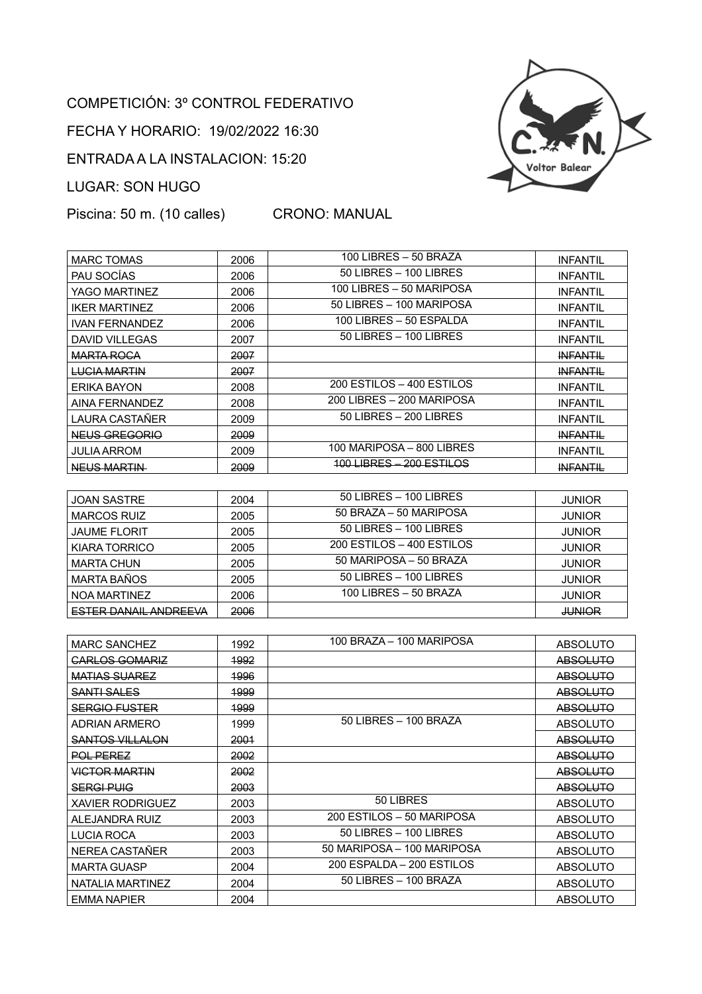## COMPETICIÓN: 3º CONTROL FEDERATIVO

FECHA Y HORARIO: 19/02/2022 16:30

ENTRADA A LA INSTALACION: 15:20

LUGAR: SON HUGO

Piscina: 50 m. (10 calles) CRONO: MANUAL



| <b>MARC TOMAS</b>     | 2006 | 100 LIBRES - 50 BRAZA      | <b>INFANTIL</b> |
|-----------------------|------|----------------------------|-----------------|
| PAU SOCÍAS            | 2006 | 50 LIBRES - 100 LIBRES     | <b>INFANTIL</b> |
| YAGO MARTINEZ         | 2006 | 100 LIBRES - 50 MARIPOSA   | <b>INFANTIL</b> |
| <b>IKER MARTINEZ</b>  | 2006 | 50 LIBRES - 100 MARIPOSA   | <b>INFANTIL</b> |
| <b>IVAN FERNANDEZ</b> | 2006 | 100 LIBRES – 50 ESPALDA    | <b>INFANTIL</b> |
| DAVID VILLEGAS        | 2007 | $50$ LIBRES $-$ 100 LIBRES | <b>INFANTIL</b> |
| <b>MARTA ROCA</b>     | 2007 |                            | <b>INFANTIL</b> |
| <b>LUCIA MARTIN</b>   | 2007 |                            | <b>INFANTIL</b> |
| ERIKA BAYON           | 2008 | 200 ESTILOS - 400 ESTILOS  | <b>INFANTIL</b> |
| AINA FERNANDEZ        | 2008 | 200 LIBRES - 200 MARIPOSA  | <b>INFANTIL</b> |
| LAURA CASTAÑER        | 2009 | $50$ LIBRES $-200$ LIBRES  | <b>INFANTIL</b> |
| NEUS GREGORIO         | 2009 |                            | <b>INFANTIL</b> |
| <b>JULIA ARROM</b>    | 2009 | 100 MARIPOSA - 800 LIBRES  | <b>INFANTIL</b> |
| NEUS MARTIN           | 2009 | 100 LIBRES—<br>200 ESTILOS | <b>INFANTIL</b> |

| <b>JOAN SASTRE</b>           | 2004 | $50$ LIBRES $-$ 100 LIBRES | <b>JUNIOR</b> |
|------------------------------|------|----------------------------|---------------|
| <b>MARCOS RUIZ</b>           | 2005 | 50 BRAZA - 50 MARIPOSA     | <b>JUNIOR</b> |
| <b>JAUME FLORIT</b>          | 2005 | $50$ LIBRES $-$ 100 LIBRES | <b>JUNIOR</b> |
| KIARA TORRICO                | 2005 | 200 ESTILOS - 400 ESTILOS  | <b>JUNIOR</b> |
| <b>MARTA CHUN</b>            | 2005 | 50 MARIPOSA - 50 BRAZA     | <b>JUNIOR</b> |
| <b>MARTA BAÑOS</b>           | 2005 | $50$ LIBRES $-$ 100 LIBRES | <b>JUNIOR</b> |
| NOA MARTINEZ                 | 2006 | 100 LIBRES - 50 BRAZA      | <b>JUNIOR</b> |
| <b>ESTER DANAIL ANDREEVA</b> | 2006 |                            | <b>JUNIOR</b> |

| <b>MARC SANCHEZ</b>      | 1992 | 100 BRAZA - 100 MARIPOSA   | <b>ABSOLUTO</b> |
|--------------------------|------|----------------------------|-----------------|
| <b>CARLOS GOMARIZ</b>    | 1992 |                            | <b>ABSOLUTO</b> |
| <b>MATIAS SUAREZ</b>     | 1996 |                            | <b>ABSOLUTO</b> |
| <del>SANTI SALES</del>   | 1999 |                            | <b>ABSOLUTO</b> |
| <del>SERGIO FUSTER</del> | 1999 |                            | <b>ABSOLUTO</b> |
| ADRIAN ARMERO            | 1999 | 50 LIBRES - 100 BRAZA      | <b>ABSOLUTO</b> |
| SANTOS VILLALON          | 2001 |                            | <b>ABSOLUTO</b> |
| <b>POL PEREZ</b>         | 2002 |                            | <b>ABSOLUTO</b> |
| <b>VICTOR MARTIN</b>     | 2002 |                            | <b>ABSOLUTO</b> |
| <b>SERGI PUIG</b>        | 2003 |                            | <b>ABSOLUTO</b> |
| <b>XAVIER RODRIGUEZ</b>  | 2003 | 50 LIBRES                  | <b>ABSOLUTO</b> |
| ALEJANDRA RUIZ           | 2003 | 200 ESTILOS - 50 MARIPOSA  | <b>ABSOLUTO</b> |
| <b>LUCIA ROCA</b>        | 2003 | $50$ LIBRES $-$ 100 LIBRES | <b>ABSOLUTO</b> |
| NEREA CASTAÑER           | 2003 | 50 MARIPOSA - 100 MARIPOSA | <b>ABSOLUTO</b> |
| <b>MARTA GUASP</b>       | 2004 | 200 ESPALDA - 200 ESTILOS  | <b>ABSOLUTO</b> |
| NATALIA MARTINEZ         | 2004 | 50 LIBRES - 100 BRAZA      | <b>ABSOLUTO</b> |
| <b>EMMA NAPIER</b>       | 2004 |                            | <b>ABSOLUTO</b> |